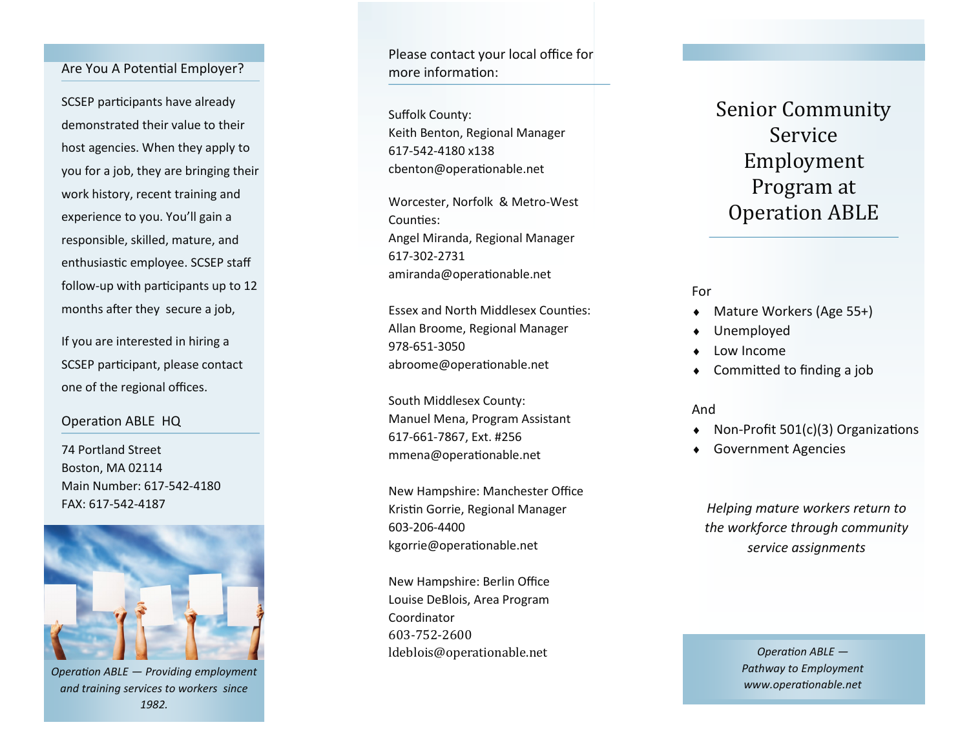### Are You A Potential Employer?

SCSEP participants have already demonstrated their value to their host agencies. When they apply to you for a job, they are bringing their work history, recent training and experience to you. You 'll gain a responsible, skilled, mature, and enthusiastic employee. SCSEP staff follow -up with participants up to 12 months after they secure a job,

If you are interested in hiring a SCSEP participant, please contact one of the regional offices.

## Operation ABLE HQ

74 Portland Street Boston, MA 02114 Main Number: 617 -542 -4180 FAX: 617 -542 -4187



*Operation ABLE — Providing employment and training services to workers since 1982.* 

Please contact your local office for more information:

Suffolk County: Keith Benton, Regional Manager 617 -542 -4180 x138 cbenton@operationable.net

Worcester, Norfolk & Metro -West Counties: Angel Miranda, Regional Manager 617 -302 -2731 amiranda@operationable.net

Essex and North Middlesex Counties: Allan Broome, Regional Manager 978 -651 -3050 abroome@operationable.net

South Middlesex County: Manuel Mena, Program Assistant 617 -661 -7867, Ext. #256 mmena@operationable.net

New Hampshire: Manchester Office Kristin Gorrie, Regional Manager 603 -206 -4400 kgorrie@operationable.net

New Hampshire: Berlin Office Louise DeBlois, Area Program Coordinator 603 -752 -2600 ldeblois@operationable.net

Senior Community Service Employment Program at Operation ABLE

For

- Mature Workers (Age 55+)
- Unemployed
- Low Income
- Committed to finding a job

And

- Non -Profit 501(c)(3) Organizations
- Government Agencies

*Helping mature workers return to the workforce through community service assignments*

> *Operation ABLE — Pathway to Employment www.operationable.net*